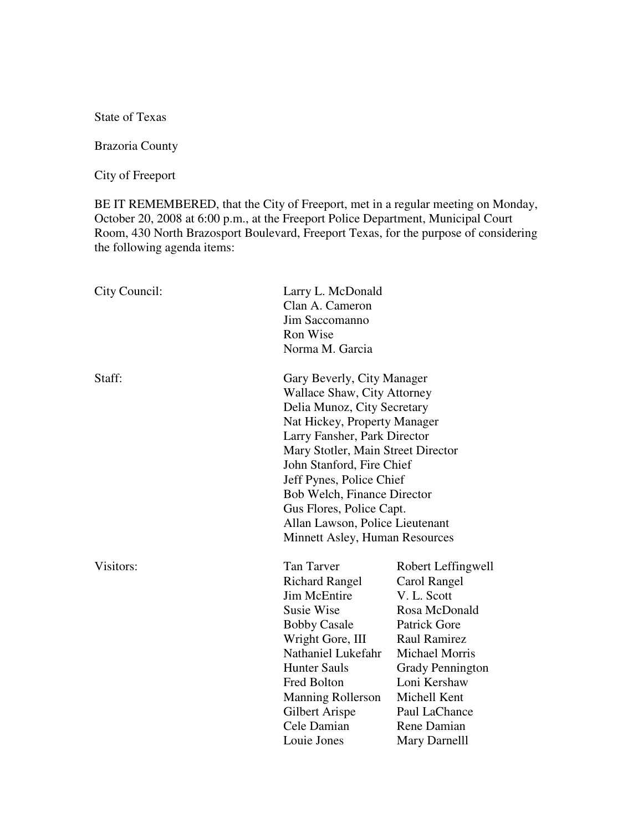State of Texas

Brazoria County

City of Freeport

BE IT REMEMBERED, that the City of Freeport, met in a regular meeting on Monday, October 20, 2008 at 6:00 p.m., at the Freeport Police Department, Municipal Court Room, 430 North Brazosport Boulevard, Freeport Texas, for the purpose of considering the following agenda items:

| City Council: | Larry L. McDonald<br>Clan A. Cameron<br>Jim Saccomanno<br>Ron Wise                                                                                                                                                                                                                                                                                                                                    |                                                                                                                                                                                                                                                       |
|---------------|-------------------------------------------------------------------------------------------------------------------------------------------------------------------------------------------------------------------------------------------------------------------------------------------------------------------------------------------------------------------------------------------------------|-------------------------------------------------------------------------------------------------------------------------------------------------------------------------------------------------------------------------------------------------------|
|               | Norma M. Garcia                                                                                                                                                                                                                                                                                                                                                                                       |                                                                                                                                                                                                                                                       |
| Staff:        | Gary Beverly, City Manager<br><b>Wallace Shaw, City Attorney</b><br>Delia Munoz, City Secretary<br>Nat Hickey, Property Manager<br>Larry Fansher, Park Director<br>Mary Stotler, Main Street Director<br>John Stanford, Fire Chief<br>Jeff Pynes, Police Chief<br><b>Bob Welch, Finance Director</b><br>Gus Flores, Police Capt.<br>Allan Lawson, Police Lieutenant<br>Minnett Asley, Human Resources |                                                                                                                                                                                                                                                       |
| Visitors:     | Tan Tarver<br><b>Richard Rangel</b><br><b>Jim McEntire</b><br><b>Susie Wise</b><br><b>Bobby Casale</b><br>Wright Gore, III<br>Nathaniel Lukefahr<br><b>Hunter Sauls</b><br>Fred Bolton<br><b>Manning Rollerson</b><br>Gilbert Arispe<br>Cele Damian<br>Louie Jones                                                                                                                                    | Robert Leffingwell<br>Carol Rangel<br>V. L. Scott<br>Rosa McDonald<br><b>Patrick Gore</b><br><b>Raul Ramirez</b><br><b>Michael Morris</b><br><b>Grady Pennington</b><br>Loni Kershaw<br>Michell Kent<br>Paul LaChance<br>Rene Damian<br>Mary Darnelll |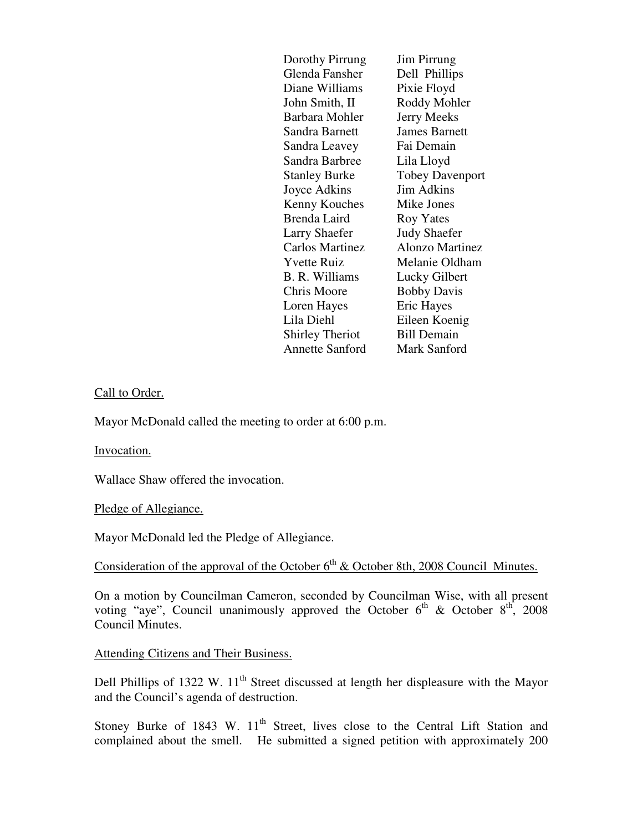Dorothy Pirrung Jim Pirrung Glenda Fansher Dell Phillips Diane Williams Pixie Floyd John Smith, II Roddy Mohler Barbara Mohler Jerry Meeks Sandra Barnett James Barnett Sandra Leavey Fai Demain Sandra Barbree Lila Lloyd Stanley Burke Tobey Davenport Joyce Adkins Jim Adkins Kenny Kouches Mike Jones Brenda Laird Roy Yates Larry Shaefer Judy Shaefer Carlos Martinez Alonzo Martinez Yvette Ruiz Melanie Oldham B. R. Williams Lucky Gilbert Chris Moore Bobby Davis Loren Hayes Eric Hayes Lila Diehl Eileen Koenig Shirley Theriot Bill Demain Annette Sanford Mark Sanford

### Call to Order.

Mayor McDonald called the meeting to order at 6:00 p.m.

Invocation.

Wallace Shaw offered the invocation.

Pledge of Allegiance.

Mayor McDonald led the Pledge of Allegiance.

Consideration of the approval of the October  $6<sup>th</sup>$  & October 8th, 2008 Council Minutes.

On a motion by Councilman Cameron, seconded by Councilman Wise, with all present voting "aye", Council unanimously approved the October  $6<sup>th</sup>$  & October  $8<sup>th</sup>$ , 2008 Council Minutes.

### Attending Citizens and Their Business.

Dell Phillips of 1322 W.  $11<sup>th</sup>$  Street discussed at length her displeasure with the Mayor and the Council's agenda of destruction.

Stoney Burke of 1843 W.  $11<sup>th</sup>$  Street, lives close to the Central Lift Station and complained about the smell. He submitted a signed petition with approximately 200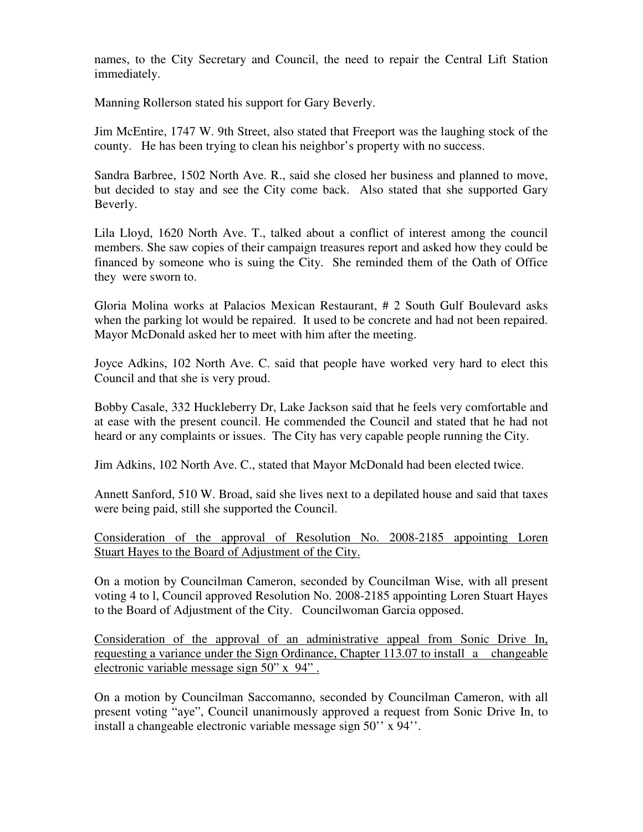names, to the City Secretary and Council, the need to repair the Central Lift Station immediately.

Manning Rollerson stated his support for Gary Beverly.

Jim McEntire, 1747 W. 9th Street, also stated that Freeport was the laughing stock of the county. He has been trying to clean his neighbor's property with no success.

Sandra Barbree, 1502 North Ave. R., said she closed her business and planned to move, but decided to stay and see the City come back. Also stated that she supported Gary Beverly.

Lila Lloyd, 1620 North Ave. T., talked about a conflict of interest among the council members. She saw copies of their campaign treasures report and asked how they could be financed by someone who is suing the City. She reminded them of the Oath of Office they were sworn to.

Gloria Molina works at Palacios Mexican Restaurant, # 2 South Gulf Boulevard asks when the parking lot would be repaired. It used to be concrete and had not been repaired. Mayor McDonald asked her to meet with him after the meeting.

Joyce Adkins, 102 North Ave. C. said that people have worked very hard to elect this Council and that she is very proud.

Bobby Casale, 332 Huckleberry Dr, Lake Jackson said that he feels very comfortable and at ease with the present council. He commended the Council and stated that he had not heard or any complaints or issues. The City has very capable people running the City.

Jim Adkins, 102 North Ave. C., stated that Mayor McDonald had been elected twice.

Annett Sanford, 510 W. Broad, said she lives next to a depilated house and said that taxes were being paid, still she supported the Council.

Consideration of the approval of Resolution No. 2008-2185 appointing Loren Stuart Hayes to the Board of Adjustment of the City.

On a motion by Councilman Cameron, seconded by Councilman Wise, with all present voting 4 to l, Council approved Resolution No. 2008-2185 appointing Loren Stuart Hayes to the Board of Adjustment of the City. Councilwoman Garcia opposed.

Consideration of the approval of an administrative appeal from Sonic Drive In, requesting a variance under the Sign Ordinance, Chapter 113.07 to install a changeable electronic variable message sign 50" x 94" .

On a motion by Councilman Saccomanno, seconded by Councilman Cameron, with all present voting "aye", Council unanimously approved a request from Sonic Drive In, to install a changeable electronic variable message sign 50'' x 94''.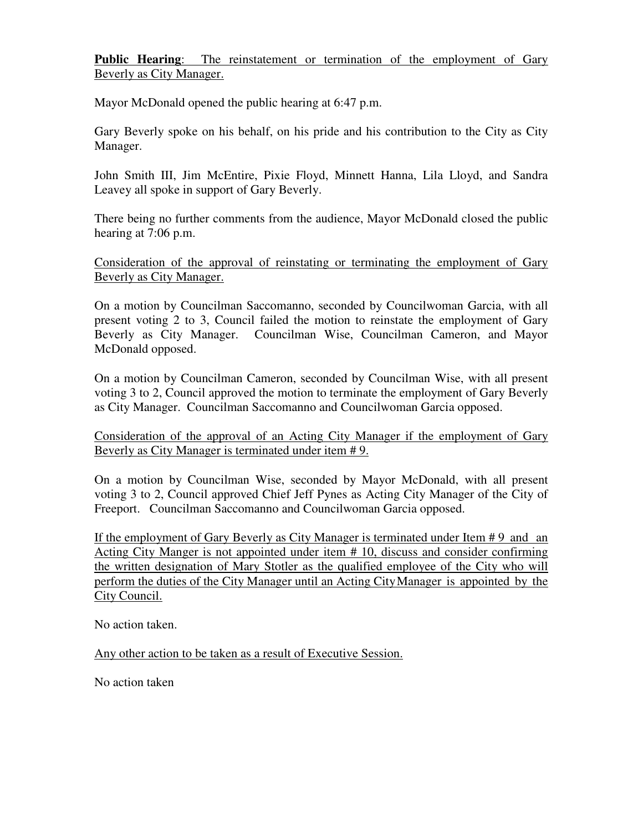**Public Hearing:** The reinstatement or termination of the employment of Gary Beverly as City Manager.

Mayor McDonald opened the public hearing at 6:47 p.m.

Gary Beverly spoke on his behalf, on his pride and his contribution to the City as City Manager.

John Smith III, Jim McEntire, Pixie Floyd, Minnett Hanna, Lila Lloyd, and Sandra Leavey all spoke in support of Gary Beverly.

There being no further comments from the audience, Mayor McDonald closed the public hearing at 7:06 p.m.

Consideration of the approval of reinstating or terminating the employment of Gary Beverly as City Manager.

On a motion by Councilman Saccomanno, seconded by Councilwoman Garcia, with all present voting 2 to 3, Council failed the motion to reinstate the employment of Gary Beverly as City Manager. Councilman Wise, Councilman Cameron, and Mayor McDonald opposed.

On a motion by Councilman Cameron, seconded by Councilman Wise, with all present voting 3 to 2, Council approved the motion to terminate the employment of Gary Beverly as City Manager. Councilman Saccomanno and Councilwoman Garcia opposed.

Consideration of the approval of an Acting City Manager if the employment of Gary Beverly as City Manager is terminated under item # 9.

On a motion by Councilman Wise, seconded by Mayor McDonald, with all present voting 3 to 2, Council approved Chief Jeff Pynes as Acting City Manager of the City of Freeport. Councilman Saccomanno and Councilwoman Garcia opposed.

If the employment of Gary Beverly as City Manager is terminated under Item # 9 and an Acting City Manger is not appointed under item # 10, discuss and consider confirming the written designation of Mary Stotler as the qualified employee of the City who will perform the duties of the City Manager until an Acting City Manager is appointed by the City Council.

No action taken.

Any other action to be taken as a result of Executive Session.

No action taken